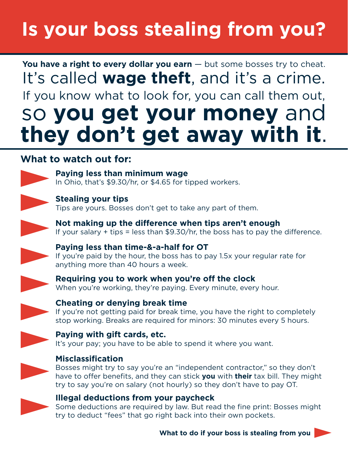## **Is your boss stealing from you?**

**You have a right to every dollar you earn** — but some bosses try to cheat. It's called **wage theft**, and it's a crime. If you know what to look for, you can call them out, so **you get your money** and **they don't get away with it**.

#### **What to watch out for:**



**Paying less than minimum wage** In Ohio, that's \$9.30/hr, or \$4.65 for tipped workers.



**Stealing your tips**

Tips are yours. Bosses don't get to take any part of them.





#### **Paying less than time-&-a-half for OT**

If you're paid by the hour, the boss has to pay 1.5x your regular rate for anything more than 40 hours a week.



**Requiring you to work when you're off the clock** When you're working, they're paying. Every minute, every hour.



#### **Cheating or denying break time**

If you're not getting paid for break time, you have the right to completely stop working. Breaks are required for minors: 30 minutes every 5 hours.



#### **Paying with gift cards, etc.**

It's your pay; you have to be able to spend it where you want.



#### **Misclassification**

Bosses might try to say you're an "independent contractor," so they don't have to offer benefits, and they can stick **you** with **their** tax bill. They might try to say you're on salary (not hourly) so they don't have to pay OT.



#### **Illegal deductions from your paycheck**

Some deductions are required by law. But read the fine print: Bosses might try to deduct "fees" that go right back into their own pockets.